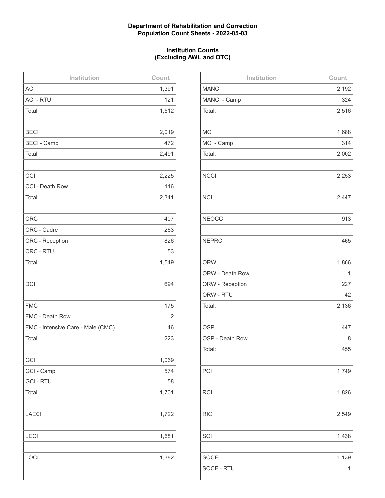### **Department of Rehabilitation and Correction Population Count Sheets - 2022-05-03**

### **Institution Counts (Excluding AWL and OTC)**

| Institution                       | Count      |
|-----------------------------------|------------|
| <b>ACI</b>                        | 1,391      |
| <b>ACI - RTU</b>                  | 121        |
| Total:                            | 1,512      |
|                                   |            |
| <b>BECI</b>                       | 2,019      |
| <b>BECI - Camp</b>                | 472        |
| Total:                            | 2,491      |
|                                   |            |
| CCI                               | 2,225      |
| CCI - Death Row                   | 116        |
| Total:                            | 2,341      |
|                                   |            |
| <b>CRC</b>                        | 407        |
| CRC - Cadre                       | 263        |
| <b>CRC - Reception</b>            | 826        |
| CRC - RTU                         | 53         |
| Total:                            | 1,549      |
|                                   |            |
| <b>DCI</b>                        | 694        |
|                                   |            |
| <b>FMC</b>                        | 175        |
| FMC - Death Row                   | $\sqrt{2}$ |
| FMC - Intensive Care - Male (CMC) | 46         |
| Total:                            | 223        |
|                                   |            |
| GCI                               | 1,069      |
| GCI - Camp                        | 574        |
| <b>GCI - RTU</b>                  | 58         |
| Total:                            | 1,701      |
|                                   |            |
| LAECI                             | 1,722      |
|                                   |            |
| LECI                              | 1,681      |
|                                   |            |
| LOCI                              | 1,382      |
|                                   |            |
|                                   |            |

| Institution     | Count |
|-----------------|-------|
| <b>MANCI</b>    | 2,192 |
| MANCI - Camp    | 324   |
| Total:          | 2,516 |
|                 |       |
| <b>MCI</b>      | 1,688 |
| MCI - Camp      | 314   |
| Total:          | 2,002 |
|                 |       |
| <b>NCCI</b>     | 2,253 |
|                 |       |
| <b>NCI</b>      | 2,447 |
|                 |       |
| <b>NEOCC</b>    | 913   |
|                 |       |
| <b>NEPRC</b>    | 465   |
|                 |       |
| <b>ORW</b>      | 1,866 |
| ORW - Death Row | 1     |
| ORW - Reception | 227   |
| ORW - RTU       | 42    |
| Total:          | 2,136 |
|                 |       |
| <b>OSP</b>      | 447   |
| OSP - Death Row | 8     |
| Total:          | 455   |
|                 |       |
| PCI             | 1,749 |
|                 |       |
| <b>RCI</b>      | 1,826 |
|                 |       |
| <b>RICI</b>     | 2,549 |
|                 |       |
| SCI             | 1,438 |
|                 |       |
| <b>SOCF</b>     | 1,139 |
| SOCF - RTU      | 1     |
|                 |       |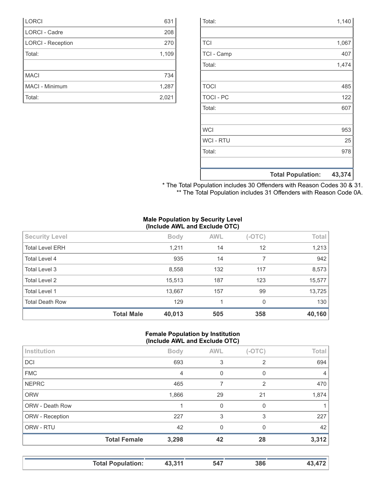|                  | <b>Total Population:</b> | 43,374 |
|------------------|--------------------------|--------|
|                  |                          |        |
| Total:           |                          | 978    |
| <b>WCI-RTU</b>   |                          | 25     |
| <b>WCI</b>       |                          | 953    |
|                  |                          |        |
| Total:           |                          | 607    |
| <b>TOCI - PC</b> |                          | 122    |
| <b>TOCI</b>      |                          | 485    |
|                  |                          |        |
| Total:           |                          | 1,474  |
| TCI - Camp       |                          | 407    |
| <b>TCI</b>       |                          | 1,067  |
|                  |                          |        |
| Total:           |                          | 1,140  |

| * The Total Population includes 30 Offenders with Reason Codes 30 & 31. |  |  |
|-------------------------------------------------------------------------|--|--|
| ** The Total Population includes 31 Offenders with Reason Code 0A.      |  |  |

#### **Male Population by Security Level (Include AWL and Exclude OTC)**

| <b>Security Level</b>  |                   | <b>Body</b> | <b>AWL</b> | $(-OTC)$ | Total  |
|------------------------|-------------------|-------------|------------|----------|--------|
| <b>Total Level ERH</b> |                   | 1,211       | 14         | 12       | 1,213  |
| Total Level 4          |                   | 935         | 14         |          | 942    |
| Total Level 3          |                   | 8,558       | 132        | 117      | 8,573  |
| Total Level 2          |                   | 15,513      | 187        | 123      | 15,577 |
| <b>Total Level 1</b>   |                   | 13,667      | 157        | 99       | 13,725 |
| <b>Total Death Row</b> |                   | 129         |            | 0        | 130    |
|                        | <b>Total Male</b> | 40,013      | 505        | 358      | 40,160 |

#### **Female Population by Institution (Include AWL and Exclude OTC)**

|                        | $\cdot$             |             |            |                |                |
|------------------------|---------------------|-------------|------------|----------------|----------------|
| Institution            |                     | <b>Body</b> | <b>AWL</b> | $(-OTC)$       | <b>Total</b>   |
| <b>DCI</b>             |                     | 693         | 3          | 2              | 694            |
| <b>FMC</b>             |                     | 4           | $\Omega$   | 0              | $\overline{4}$ |
| <b>NEPRC</b>           |                     | 465         |            | $\overline{2}$ | 470            |
| <b>ORW</b>             |                     | 1,866       | 29         | 21             | 1,874          |
| <b>ORW - Death Row</b> |                     |             | $\Omega$   | $\Omega$       |                |
| ORW - Reception        |                     | 227         | 3          | 3              | 227            |
| ORW - RTU              |                     | 42          | $\Omega$   | $\Omega$       | 42             |
|                        | <b>Total Female</b> | 3,298       | 42         | 28             | 3,312          |
|                        |                     |             |            |                |                |

|  | Tatal Damilation<br>Total Population: | 244 | 517 |  |  |
|--|---------------------------------------|-----|-----|--|--|
|--|---------------------------------------|-----|-----|--|--|

| <b>LORCI</b>             | 631   |
|--------------------------|-------|
| <b>LORCI - Cadre</b>     | 208   |
| <b>LORCI - Reception</b> | 270   |
| Total:                   | 1,109 |
|                          |       |
| <b>MACI</b>              | 734   |
| MACI - Minimum           | 1,287 |
| Total:                   | 2,021 |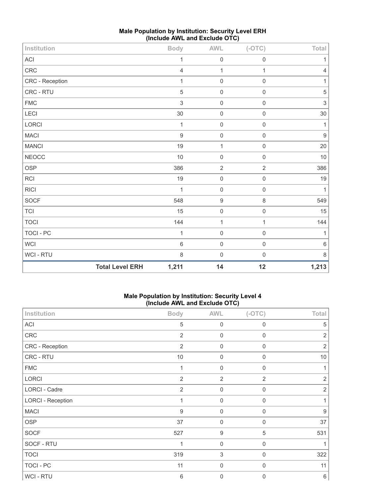| Institution                |                        | <b>Body</b>      | $\mathsf{AWL}\xspace$ | $(-OTC)$            | Total            |
|----------------------------|------------------------|------------------|-----------------------|---------------------|------------------|
| $\boldsymbol{\mathsf{AC}}$ |                        | 1                | $\mathbf 0$           | $\mathbf 0$         | 1                |
| CRC                        |                        | $\overline{4}$   | $\mathbf{1}$          | $\mathbf 1$         | 4                |
| CRC - Reception            |                        | 1                | $\mathbf 0$           | $\mathsf 0$         | 1                |
| CRC - RTU                  |                        | $\overline{5}$   | $\mathbf 0$           | $\mathbf 0$         | $\sqrt{5}$       |
| ${\sf FMC}$                |                        | $\,$ 3 $\,$      | $\mathbf 0$           | $\mathbf 0$         | $\sqrt{3}$       |
| LECI                       |                        | 30               | $\mathbf 0$           | $\mathbf 0$         | 30               |
| <b>LORCI</b>               |                        | 1                | $\mathbf 0$           | $\mathsf{O}\xspace$ | 1                |
| <b>MACI</b>                |                        | $\boldsymbol{9}$ | $\mathsf 0$           | $\mathbf 0$         | $\boldsymbol{9}$ |
| <b>MANCI</b>               |                        | $19$             | $\mathbf{1}$          | $\mathbf 0$         | 20               |
| <b>NEOCC</b>               |                        | 10               | $\mathsf 0$           | $\mathbf 0$         | 10               |
| OSP                        |                        | 386              | $\overline{2}$        | $\overline{2}$      | 386              |
| <b>RCI</b>                 |                        | 19               | $\mathsf 0$           | $\mathbf 0$         | 19               |
| <b>RICI</b>                |                        | 1                | $\mathbf 0$           | $\mathbf 0$         | 1                |
| SOCF                       |                        | 548              | $\boldsymbol{9}$      | 8                   | 549              |
| <b>TCI</b>                 |                        | 15               | $\mathbf 0$           | $\mathbf 0$         | 15               |
| <b>TOCI</b>                |                        | 144              | $\mathbf{1}$          | $\mathbf{1}$        | 144              |
| TOCI - PC                  |                        | 1                | $\mathbf 0$           | $\mathbf 0$         | 1                |
| WCI                        |                        | $6\,$            | $\mathsf 0$           | $\mathbf 0$         | 6                |
| WCI - RTU                  |                        | 8                | $\mathbf 0$           | $\mathbf 0$         | $\,8\,$          |
|                            | <b>Total Level ERH</b> | 1,211            | 14                    | 12                  | 1,213            |

# **Male Population by Institution: Security Level ERH (Include AWL and Exclude OTC)**

## **Male Population by Institution: Security Level 4 (Include AWL and Exclude OTC)**

|                          | $\cdot$<br>.   | .                | ,              |                |
|--------------------------|----------------|------------------|----------------|----------------|
| Institution              | <b>Body</b>    | <b>AWL</b>       | $(-OTC)$       | Total          |
| <b>ACI</b>               | $\sqrt{5}$     | $\mathbf 0$      | $\mathbf 0$    | 5              |
| CRC                      | $\overline{2}$ | $\mathbf 0$      | $\mathbf 0$    | $\overline{2}$ |
| CRC - Reception          | $\overline{2}$ | $\mathbf 0$      | $\mathbf 0$    | $\overline{2}$ |
| CRC - RTU                | 10             | $\mathbf 0$      | $\mathbf 0$    | 10             |
| <b>FMC</b>               | 1              | $\mathbf 0$      | $\mathbf 0$    | 1              |
| LORCI                    | $\overline{2}$ | $\overline{2}$   | $\overline{2}$ | $\overline{2}$ |
| <b>LORCI - Cadre</b>     | $\overline{2}$ | $\mathbf 0$      | $\mathbf 0$    | $\overline{2}$ |
| <b>LORCI - Reception</b> | 1              | $\mathbf 0$      | $\mathbf 0$    | 1              |
| <b>MACI</b>              | $9\,$          | $\boldsymbol{0}$ | $\mathbf 0$    | $9\,$          |
| <b>OSP</b>               | 37             | $\mathbf 0$      | $\mathbf 0$    | 37             |
| <b>SOCF</b>              | 527            | $\boldsymbol{9}$ | $\sqrt{5}$     | 531            |
| SOCF - RTU               | 1              | $\mathbf 0$      | $\mathbf 0$    |                |
| <b>TOCI</b>              | 319            | $\sqrt{3}$       | $\mathbf 0$    | 322            |
| TOCI - PC                | 11             | $\mathbf 0$      | $\mathbf 0$    | 11             |
| <b>WCI - RTU</b>         | $\,6\,$        | $\mathbf 0$      | $\Omega$       | $\,6\,$        |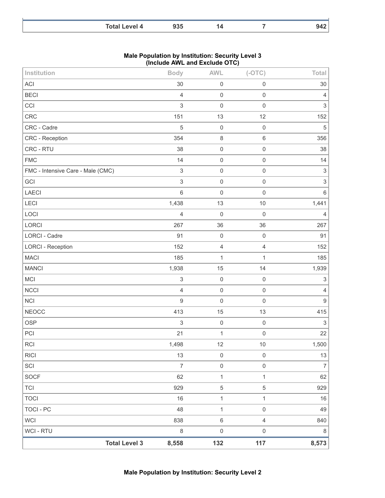| Total L.<br>evel 4<br>_____ | ח הם |  | − |
|-----------------------------|------|--|---|

| <b>Male Population by Institution: Security Level 3</b> |
|---------------------------------------------------------|
| (Include AWL and Exclude OTC)                           |

| Institution                       |                      | <b>Body</b>               | <b>AWL</b>          | $(-OTC)$            | <b>Total</b>              |
|-----------------------------------|----------------------|---------------------------|---------------------|---------------------|---------------------------|
| <b>ACI</b>                        |                      | 30                        | $\mathsf 0$         | $\mathbf 0$         | 30                        |
| <b>BECI</b>                       |                      | $\overline{4}$            | $\mathbf 0$         | $\mathbf 0$         | $\overline{4}$            |
| CCI                               |                      | $\mathfrak{S}$            | $\mathbf 0$         | $\mathbf 0$         | $\ensuremath{\mathsf{3}}$ |
| <b>CRC</b>                        |                      | 151                       | 13                  | 12                  | 152                       |
| CRC - Cadre                       |                      | $\sqrt{5}$                | $\mathbf 0$         | $\mathsf{O}\xspace$ | $\sqrt{5}$                |
| <b>CRC - Reception</b>            |                      | 354                       | $\,8\,$             | $\,6\,$             | 356                       |
| CRC - RTU                         |                      | 38                        | $\mathbf 0$         | $\mathbf 0$         | 38                        |
| <b>FMC</b>                        |                      | 14                        | $\mathbf 0$         | $\mathbf 0$         | 14                        |
| FMC - Intensive Care - Male (CMC) |                      | $\ensuremath{\mathsf{3}}$ | $\mathsf{O}\xspace$ | $\mathbf 0$         | $\ensuremath{\mathsf{3}}$ |
| GCI                               |                      | $\mathfrak{S}$            | $\mathbf 0$         | $\mathbf 0$         | $\ensuremath{\mathsf{3}}$ |
| <b>LAECI</b>                      |                      | $\,6\,$                   | $\mathbf 0$         | $\mathbf 0$         | $6\,$                     |
| <b>LECI</b>                       |                      | 1,438                     | 13                  | 10                  | 1,441                     |
| LOCI                              |                      | $\overline{4}$            | $\mathbf 0$         | $\mathbf 0$         | $\overline{4}$            |
| LORCI                             |                      | 267                       | 36                  | 36                  | 267                       |
| <b>LORCI - Cadre</b>              |                      | 91                        | $\mathbf 0$         | $\mathbf 0$         | 91                        |
| <b>LORCI - Reception</b>          |                      | 152                       | $\sqrt{4}$          | $\overline{4}$      | 152                       |
| <b>MACI</b>                       |                      | 185                       | $\mathbf{1}$        | $\mathbf{1}$        | 185                       |
| <b>MANCI</b>                      |                      | 1,938                     | 15                  | 14                  | 1,939                     |
| MCI                               |                      | $\ensuremath{\mathsf{3}}$ | $\mathbf 0$         | $\mathbf 0$         | $\ensuremath{\mathsf{3}}$ |
| <b>NCCI</b>                       |                      | $\overline{4}$            | $\mathbf 0$         | $\mathbf 0$         | $\sqrt{4}$                |
| <b>NCI</b>                        |                      | $\boldsymbol{9}$          | $\mathbf 0$         | $\mathbf 0$         | $\boldsymbol{9}$          |
| <b>NEOCC</b>                      |                      | 413                       | 15                  | 13                  | 415                       |
| <b>OSP</b>                        |                      | $\,$ 3 $\,$               | $\mathbf 0$         | $\mathbf 0$         | $\sqrt{3}$                |
| PCI                               |                      | 21                        | $\mathbf{1}$        | $\mathbf 0$         | 22                        |
| <b>RCI</b>                        |                      | 1,498                     | 12                  | $10$                | 1,500                     |
| <b>RICI</b>                       |                      | 13                        | $\mathbf 0$         | $\mathbf 0$         | $13\,$                    |
| SCI                               |                      | $\overline{7}$            | $\mathbf 0$         | $\mathbf 0$         | $\overline{7}$            |
| <b>SOCF</b>                       |                      | 62                        | $\mathbf{1}$        | $\mathbf{1}$        | 62                        |
| <b>TCI</b>                        |                      | 929                       | $\sqrt{5}$          | $\,$ 5 $\,$         | 929                       |
| <b>TOCI</b>                       |                      | 16                        | $\mathbf{1}$        | $\mathbf{1}$        | 16                        |
| <b>TOCI - PC</b>                  |                      | 48                        | $\mathbf{1}$        | $\mathbf 0$         | 49                        |
| <b>WCI</b>                        |                      | 838                       | $\,6\,$             | $\overline{4}$      | 840                       |
| WCI - RTU                         |                      | $\,8\,$                   | $\mathsf{O}\xspace$ | $\mathbf 0$         | $\,8\,$                   |
|                                   | <b>Total Level 3</b> | 8,558                     | 132                 | 117                 | 8,573                     |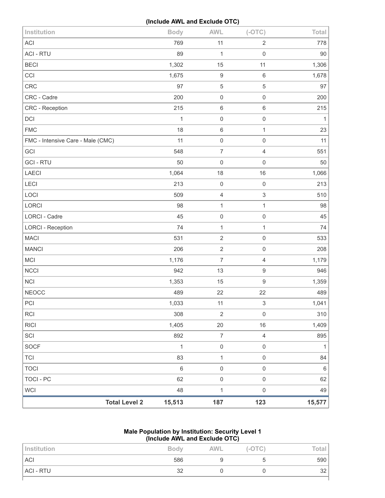# **(Include AWL and Exclude OTC)**

| Institution                       |                      | <b>Body</b>  | <b>AWL</b>       | $(-OTC)$            | Total        |
|-----------------------------------|----------------------|--------------|------------------|---------------------|--------------|
| <b>ACI</b>                        |                      | 769          | 11               | $\overline{2}$      | 778          |
| <b>ACI - RTU</b>                  |                      | 89           | 1                | $\mathsf 0$         | 90           |
| <b>BECI</b>                       |                      | 1,302        | 15               | 11                  | 1,306        |
| CCI                               |                      | 1,675        | $\boldsymbol{9}$ | $\,6\,$             | 1,678        |
| CRC                               |                      | 97           | 5                | 5                   | 97           |
| CRC - Cadre                       |                      | 200          | $\mathsf 0$      | $\mathsf 0$         | 200          |
| CRC - Reception                   |                      | 215          | $\,6\,$          | 6                   | 215          |
| DCI                               |                      | 1            | $\mathbf 0$      | $\mathsf 0$         | $\mathbf{1}$ |
| <b>FMC</b>                        |                      | 18           | $\,$ 6 $\,$      | $\mathbf{1}$        | 23           |
| FMC - Intensive Care - Male (CMC) |                      | 11           | $\mathbf 0$      | $\mathsf 0$         | 11           |
| GCI                               |                      | 548          | $\boldsymbol{7}$ | 4                   | 551          |
| <b>GCI-RTU</b>                    |                      | 50           | $\mathbf 0$      | $\mathsf{O}\xspace$ | 50           |
| <b>LAECI</b>                      |                      | 1,064        | 18               | 16                  | 1,066        |
| LECI                              |                      | 213          | $\mathbf 0$      | $\mathsf{O}\xspace$ | 213          |
| LOCI                              |                      | 509          | $\overline{4}$   | $\sqrt{3}$          | 510          |
| LORCI                             |                      | 98           | 1                | $\mathbf{1}$        | 98           |
| LORCI - Cadre                     |                      | 45           | $\mathbf 0$      | $\mathsf{O}\xspace$ | 45           |
| <b>LORCI - Reception</b>          |                      | 74           | 1                | $\mathbf{1}$        | 74           |
| <b>MACI</b>                       |                      | 531          | $\sqrt{2}$       | $\mathsf{O}\xspace$ | 533          |
| <b>MANCI</b>                      |                      | 206          | $\sqrt{2}$       | 0                   | 208          |
| MCI                               |                      | 1,176        | $\overline{7}$   | $\overline{4}$      | 1,179        |
| <b>NCCI</b>                       |                      | 942          | 13               | $\boldsymbol{9}$    | 946          |
| <b>NCI</b>                        |                      | 1,353        | 15               | 9                   | 1,359        |
| <b>NEOCC</b>                      |                      | 489          | 22               | 22                  | 489          |
| PCI                               |                      | 1,033        | 11               | 3                   | 1,041        |
| RCI                               |                      | 308          | $\sqrt{2}$       | $\mathsf{O}\xspace$ | 310          |
| <b>RICI</b>                       |                      | 1,405        | 20               | 16                  | 1,409        |
| SCI                               |                      | 892          | $\boldsymbol{7}$ | $\overline{4}$      | 895          |
| <b>SOCF</b>                       |                      | $\mathbf{1}$ | $\mathbf 0$      | $\mathsf{O}\xspace$ | $\mathbf{1}$ |
| <b>TCI</b>                        |                      | 83           | $\mathbf 1$      | $\mathsf{O}\xspace$ | 84           |
| <b>TOCI</b>                       |                      | 6            | $\mathbf 0$      | $\mathsf{O}\xspace$ | $\,6\,$      |
| TOCI - PC                         |                      | 62           | $\mathbf 0$      | $\mathsf{O}\xspace$ | 62           |
| <b>WCI</b>                        |                      | 48           | $\mathbf 1$      | $\mathsf{O}\xspace$ | 49           |
|                                   | <b>Total Level 2</b> | 15,513       | 187              | 123                 | 15,577       |

## **Male Population by Institution: Security Level 1 (Include AWL and Exclude OTC)**

| Institution | <b>Body</b> | <b>AWL</b> | $(-OTC)$ | Total |
|-------------|-------------|------------|----------|-------|
| <b>ACI</b>  | 586         |            |          | 590   |
| ACI - RTU   | 32          |            |          | 32    |
|             |             |            |          |       |